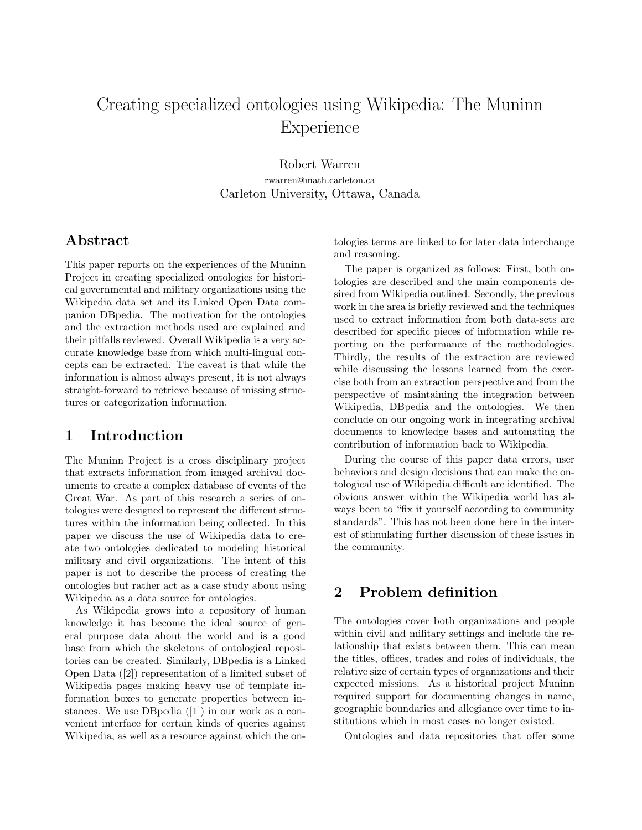# Creating specialized ontologies using Wikipedia: The Muninn **Experience**

Robert Warren rwarren@math.carleton.ca Carleton University, Ottawa, Canada

#### Abstract

This paper reports on the experiences of the Muninn Project in creating specialized ontologies for historical governmental and military organizations using the Wikipedia data set and its Linked Open Data companion DBpedia. The motivation for the ontologies and the extraction methods used are explained and their pitfalls reviewed. Overall Wikipedia is a very accurate knowledge base from which multi-lingual concepts can be extracted. The caveat is that while the information is almost always present, it is not always straight-forward to retrieve because of missing structures or categorization information.

#### 1 Introduction

The Muninn Project is a cross disciplinary project that extracts information from imaged archival documents to create a complex database of events of the Great War. As part of this research a series of ontologies were designed to represent the different structures within the information being collected. In this paper we discuss the use of Wikipedia data to create two ontologies dedicated to modeling historical military and civil organizations. The intent of this paper is not to describe the process of creating the ontologies but rather act as a case study about using Wikipedia as a data source for ontologies.

As Wikipedia grows into a repository of human knowledge it has become the ideal source of general purpose data about the world and is a good base from which the skeletons of ontological repositories can be created. Similarly, DBpedia is a Linked Open Data ([2]) representation of a limited subset of Wikipedia pages making heavy use of template information boxes to generate properties between instances. We use DBpedia ([1]) in our work as a convenient interface for certain kinds of queries against Wikipedia, as well as a resource against which the ontologies terms are linked to for later data interchange and reasoning.

The paper is organized as follows: First, both ontologies are described and the main components desired from Wikipedia outlined. Secondly, the previous work in the area is briefly reviewed and the techniques used to extract information from both data-sets are described for specific pieces of information while reporting on the performance of the methodologies. Thirdly, the results of the extraction are reviewed while discussing the lessons learned from the exercise both from an extraction perspective and from the perspective of maintaining the integration between Wikipedia, DBpedia and the ontologies. We then conclude on our ongoing work in integrating archival documents to knowledge bases and automating the contribution of information back to Wikipedia.

During the course of this paper data errors, user behaviors and design decisions that can make the ontological use of Wikipedia difficult are identified. The obvious answer within the Wikipedia world has always been to "fix it yourself according to community standards". This has not been done here in the interest of stimulating further discussion of these issues in the community.

### 2 Problem definition

The ontologies cover both organizations and people within civil and military settings and include the relationship that exists between them. This can mean the titles, offices, trades and roles of individuals, the relative size of certain types of organizations and their expected missions. As a historical project Muninn required support for documenting changes in name, geographic boundaries and allegiance over time to institutions which in most cases no longer existed.

Ontologies and data repositories that offer some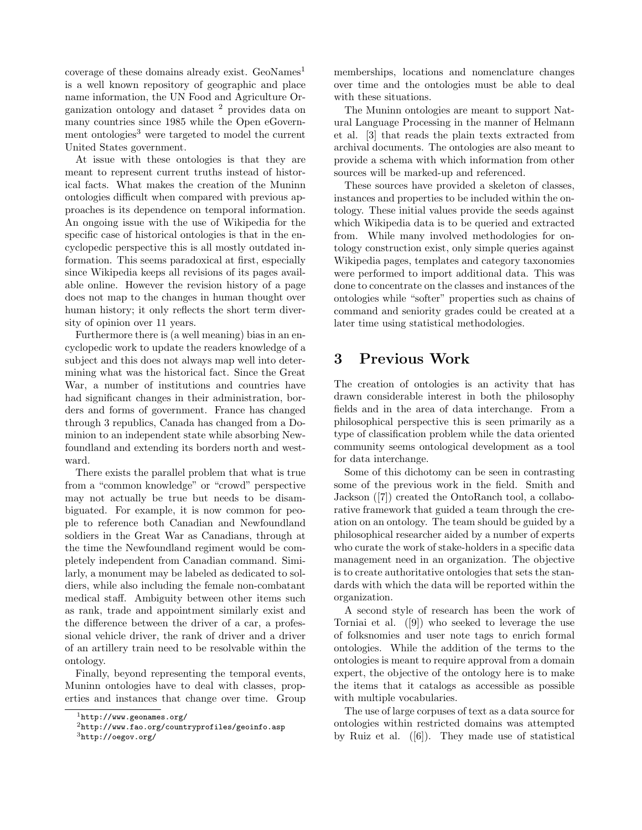coverage of these domains already exist. GeoNames<sup>1</sup> is a well known repository of geographic and place name information, the UN Food and Agriculture Organization ontology and dataset <sup>2</sup> provides data on many countries since 1985 while the Open eGovernment ontologies<sup>3</sup> were targeted to model the current United States government.

At issue with these ontologies is that they are meant to represent current truths instead of historical facts. What makes the creation of the Muninn ontologies difficult when compared with previous approaches is its dependence on temporal information. An ongoing issue with the use of Wikipedia for the specific case of historical ontologies is that in the encyclopedic perspective this is all mostly outdated information. This seems paradoxical at first, especially since Wikipedia keeps all revisions of its pages available online. However the revision history of a page does not map to the changes in human thought over human history; it only reflects the short term diversity of opinion over 11 years.

Furthermore there is (a well meaning) bias in an encyclopedic work to update the readers knowledge of a subject and this does not always map well into determining what was the historical fact. Since the Great War, a number of institutions and countries have had significant changes in their administration, borders and forms of government. France has changed through 3 republics, Canada has changed from a Dominion to an independent state while absorbing Newfoundland and extending its borders north and westward.

There exists the parallel problem that what is true from a "common knowledge" or "crowd" perspective may not actually be true but needs to be disambiguated. For example, it is now common for people to reference both Canadian and Newfoundland soldiers in the Great War as Canadians, through at the time the Newfoundland regiment would be completely independent from Canadian command. Similarly, a monument may be labeled as dedicated to soldiers, while also including the female non-combatant medical staff. Ambiguity between other items such as rank, trade and appointment similarly exist and the difference between the driver of a car, a professional vehicle driver, the rank of driver and a driver of an artillery train need to be resolvable within the ontology.

Finally, beyond representing the temporal events, Muninn ontologies have to deal with classes, properties and instances that change over time. Group memberships, locations and nomenclature changes over time and the ontologies must be able to deal with these situations.

The Muninn ontologies are meant to support Natural Language Processing in the manner of Helmann et al. [3] that reads the plain texts extracted from archival documents. The ontologies are also meant to provide a schema with which information from other sources will be marked-up and referenced.

These sources have provided a skeleton of classes, instances and properties to be included within the ontology. These initial values provide the seeds against which Wikipedia data is to be queried and extracted from. While many involved methodologies for ontology construction exist, only simple queries against Wikipedia pages, templates and category taxonomies were performed to import additional data. This was done to concentrate on the classes and instances of the ontologies while "softer" properties such as chains of command and seniority grades could be created at a later time using statistical methodologies.

#### 3 Previous Work

The creation of ontologies is an activity that has drawn considerable interest in both the philosophy fields and in the area of data interchange. From a philosophical perspective this is seen primarily as a type of classification problem while the data oriented community seems ontological development as a tool for data interchange.

Some of this dichotomy can be seen in contrasting some of the previous work in the field. Smith and Jackson ([7]) created the OntoRanch tool, a collaborative framework that guided a team through the creation on an ontology. The team should be guided by a philosophical researcher aided by a number of experts who curate the work of stake-holders in a specific data management need in an organization. The objective is to create authoritative ontologies that sets the standards with which the data will be reported within the organization.

A second style of research has been the work of Torniai et al. ([9]) who seeked to leverage the use of folksnomies and user note tags to enrich formal ontologies. While the addition of the terms to the ontologies is meant to require approval from a domain expert, the objective of the ontology here is to make the items that it catalogs as accessible as possible with multiple vocabularies.

The use of large corpuses of text as a data source for ontologies within restricted domains was attempted by Ruiz et al. ([6]). They made use of statistical

 $1$ http://www.geonames.org/

 $^{2}$ http://www.fao.org/countryprofiles/geoinfo.asp

 $3$ http://oegov.org/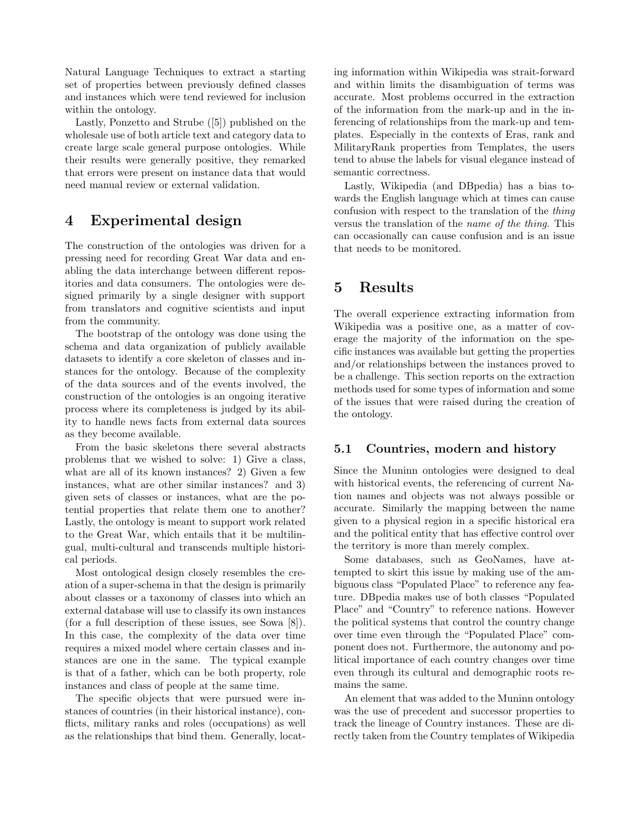Natural Language Techniques to extract a starting set of properties between previously defined classes and instances which were tend reviewed for inclusion within the ontology.

Lastly, Ponzetto and Strube ([5]) published on the wholesale use of both article text and category data to create large scale general purpose ontologies. While their results were generally positive, they remarked that errors were present on instance data that would need manual review or external validation.

#### 4 Experimental design

The construction of the ontologies was driven for a pressing need for recording Great War data and enabling the data interchange between different repositories and data consumers. The ontologies were designed primarily by a single designer with support from translators and cognitive scientists and input from the community.

The bootstrap of the ontology was done using the schema and data organization of publicly available datasets to identify a core skeleton of classes and instances for the ontology. Because of the complexity of the data sources and of the events involved, the construction of the ontologies is an ongoing iterative process where its completeness is judged by its ability to handle news facts from external data sources as they become available.

From the basic skeletons there several abstracts problems that we wished to solve: 1) Give a class, what are all of its known instances? 2) Given a few instances, what are other similar instances? and 3) given sets of classes or instances, what are the potential properties that relate them one to another? Lastly, the ontology is meant to support work related to the Great War, which entails that it be multilingual, multi-cultural and transcends multiple historical periods.

Most ontological design closely resembles the creation of a super-schema in that the design is primarily about classes or a taxonomy of classes into which an external database will use to classify its own instances (for a full description of these issues, see Sowa [8]). In this case, the complexity of the data over time requires a mixed model where certain classes and instances are one in the same. The typical example is that of a father, which can be both property, role instances and class of people at the same time.

The specific objects that were pursued were instances of countries (in their historical instance), conflicts, military ranks and roles (occupations) as well as the relationships that bind them. Generally, locating information within Wikipedia was strait-forward and within limits the disambiguation of terms was accurate. Most problems occurred in the extraction of the information from the mark-up and in the inferencing of relationships from the mark-up and templates. Especially in the contexts of Eras, rank and MilitaryRank properties from Templates, the users tend to abuse the labels for visual elegance instead of semantic correctness.

Lastly, Wikipedia (and DBpedia) has a bias towards the English language which at times can cause confusion with respect to the translation of the thing versus the translation of the name of the thing. This can occasionally can cause confusion and is an issue that needs to be monitored.

### 5 Results

The overall experience extracting information from Wikipedia was a positive one, as a matter of coverage the majority of the information on the specific instances was available but getting the properties and/or relationships between the instances proved to be a challenge. This section reports on the extraction methods used for some types of information and some of the issues that were raised during the creation of the ontology.

#### 5.1 Countries, modern and history

Since the Muninn ontologies were designed to deal with historical events, the referencing of current Nation names and objects was not always possible or accurate. Similarly the mapping between the name given to a physical region in a specific historical era and the political entity that has effective control over the territory is more than merely complex.

Some databases, such as GeoNames, have attempted to skirt this issue by making use of the ambiguous class "Populated Place" to reference any feature. DBpedia makes use of both classes "Populated Place" and "Country" to reference nations. However the political systems that control the country change over time even through the "Populated Place" component does not. Furthermore, the autonomy and political importance of each country changes over time even through its cultural and demographic roots remains the same.

An element that was added to the Muninn ontology was the use of precedent and successor properties to track the lineage of Country instances. These are directly taken from the Country templates of Wikipedia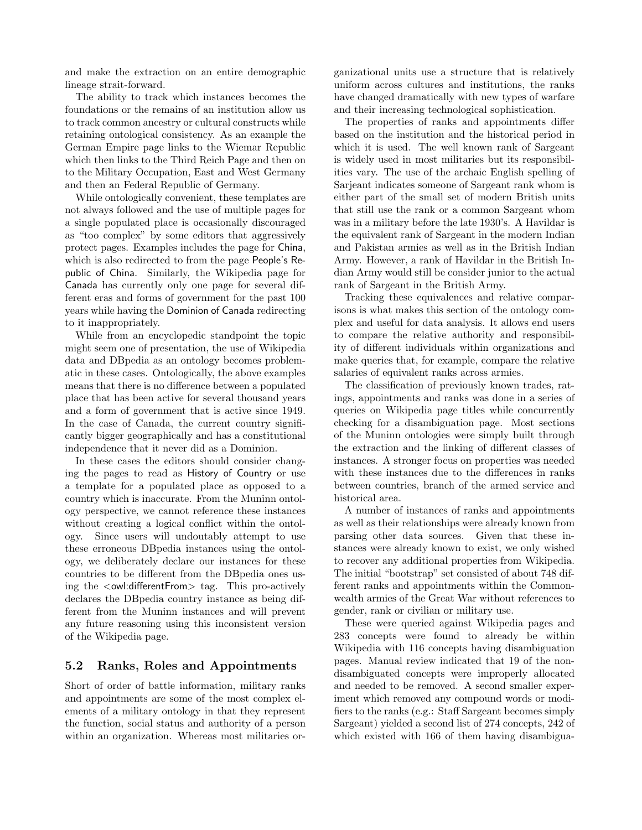and make the extraction on an entire demographic lineage strait-forward.

The ability to track which instances becomes the foundations or the remains of an institution allow us to track common ancestry or cultural constructs while retaining ontological consistency. As an example the German Empire page links to the Wiemar Republic which then links to the Third Reich Page and then on to the Military Occupation, East and West Germany and then an Federal Republic of Germany.

While ontologically convenient, these templates are not always followed and the use of multiple pages for a single populated place is occasionally discouraged as "too complex" by some editors that aggressively protect pages. Examples includes the page for China, which is also redirected to from the page People's Republic of China. Similarly, the Wikipedia page for Canada has currently only one page for several different eras and forms of government for the past 100 years while having the Dominion of Canada redirecting to it inappropriately.

While from an encyclopedic standpoint the topic might seem one of presentation, the use of Wikipedia data and DBpedia as an ontology becomes problematic in these cases. Ontologically, the above examples means that there is no difference between a populated place that has been active for several thousand years and a form of government that is active since 1949. In the case of Canada, the current country significantly bigger geographically and has a constitutional independence that it never did as a Dominion.

In these cases the editors should consider changing the pages to read as History of Country or use a template for a populated place as opposed to a country which is inaccurate. From the Muninn ontology perspective, we cannot reference these instances without creating a logical conflict within the ontology. Since users will undoutably attempt to use these erroneous DBpedia instances using the ontology, we deliberately declare our instances for these countries to be different from the DBpedia ones using the <owl:differentFrom> tag. This pro-actively declares the DBpedia country instance as being different from the Muninn instances and will prevent any future reasoning using this inconsistent version of the Wikipedia page.

#### 5.2 Ranks, Roles and Appointments

Short of order of battle information, military ranks and appointments are some of the most complex elements of a military ontology in that they represent the function, social status and authority of a person within an organization. Whereas most militaries organizational units use a structure that is relatively uniform across cultures and institutions, the ranks have changed dramatically with new types of warfare and their increasing technological sophistication.

The properties of ranks and appointments differ based on the institution and the historical period in which it is used. The well known rank of Sargeant is widely used in most militaries but its responsibilities vary. The use of the archaic English spelling of Sarjeant indicates someone of Sargeant rank whom is either part of the small set of modern British units that still use the rank or a common Sargeant whom was in a military before the late 1930's. A Havildar is the equivalent rank of Sargeant in the modern Indian and Pakistan armies as well as in the British Indian Army. However, a rank of Havildar in the British Indian Army would still be consider junior to the actual rank of Sargeant in the British Army.

Tracking these equivalences and relative comparisons is what makes this section of the ontology complex and useful for data analysis. It allows end users to compare the relative authority and responsibility of different individuals within organizations and make queries that, for example, compare the relative salaries of equivalent ranks across armies.

The classification of previously known trades, ratings, appointments and ranks was done in a series of queries on Wikipedia page titles while concurrently checking for a disambiguation page. Most sections of the Muninn ontologies were simply built through the extraction and the linking of different classes of instances. A stronger focus on properties was needed with these instances due to the differences in ranks between countries, branch of the armed service and historical area.

A number of instances of ranks and appointments as well as their relationships were already known from parsing other data sources. Given that these instances were already known to exist, we only wished to recover any additional properties from Wikipedia. The initial "bootstrap" set consisted of about 748 different ranks and appointments within the Commonwealth armies of the Great War without references to gender, rank or civilian or military use.

These were queried against Wikipedia pages and 283 concepts were found to already be within Wikipedia with 116 concepts having disambiguation pages. Manual review indicated that 19 of the nondisambiguated concepts were improperly allocated and needed to be removed. A second smaller experiment which removed any compound words or modifiers to the ranks (e.g.: Staff Sargeant becomes simply Sargeant) yielded a second list of 274 concepts, 242 of which existed with 166 of them having disambigua-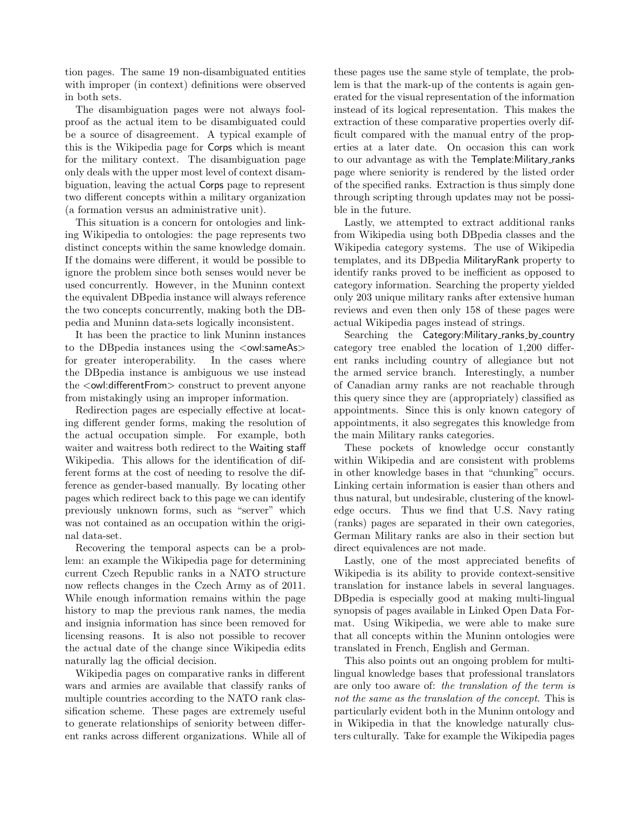tion pages. The same 19 non-disambiguated entities with improper (in context) definitions were observed in both sets.

The disambiguation pages were not always foolproof as the actual item to be disambiguated could be a source of disagreement. A typical example of this is the Wikipedia page for Corps which is meant for the military context. The disambiguation page only deals with the upper most level of context disambiguation, leaving the actual Corps page to represent two different concepts within a military organization (a formation versus an administrative unit).

This situation is a concern for ontologies and linking Wikipedia to ontologies: the page represents two distinct concepts within the same knowledge domain. If the domains were different, it would be possible to ignore the problem since both senses would never be used concurrently. However, in the Muninn context the equivalent DBpedia instance will always reference the two concepts concurrently, making both the DBpedia and Muninn data-sets logically inconsistent.

It has been the practice to link Muninn instances to the DB pedia instances using the  $\langle$  owl:sameAs $>$ for greater interoperability. In the cases where the DBpedia instance is ambiguous we use instead the <owl:differentFrom> construct to prevent anyone from mistakingly using an improper information.

Redirection pages are especially effective at locating different gender forms, making the resolution of the actual occupation simple. For example, both waiter and waitress both redirect to the Waiting staff Wikipedia. This allows for the identification of different forms at the cost of needing to resolve the difference as gender-based manually. By locating other pages which redirect back to this page we can identify previously unknown forms, such as "server" which was not contained as an occupation within the original data-set.

Recovering the temporal aspects can be a problem: an example the Wikipedia page for determining current Czech Republic ranks in a NATO structure now reflects changes in the Czech Army as of 2011. While enough information remains within the page history to map the previous rank names, the media and insignia information has since been removed for licensing reasons. It is also not possible to recover the actual date of the change since Wikipedia edits naturally lag the official decision.

Wikipedia pages on comparative ranks in different wars and armies are available that classify ranks of multiple countries according to the NATO rank classification scheme. These pages are extremely useful to generate relationships of seniority between different ranks across different organizations. While all of these pages use the same style of template, the problem is that the mark-up of the contents is again generated for the visual representation of the information instead of its logical representation. This makes the extraction of these comparative properties overly difficult compared with the manual entry of the properties at a later date. On occasion this can work to our advantage as with the Template:Military ranks page where seniority is rendered by the listed order of the specified ranks. Extraction is thus simply done through scripting through updates may not be possible in the future.

Lastly, we attempted to extract additional ranks from Wikipedia using both DBpedia classes and the Wikipedia category systems. The use of Wikipedia templates, and its DBpedia MilitaryRank property to identify ranks proved to be inefficient as opposed to category information. Searching the property yielded only 203 unique military ranks after extensive human reviews and even then only 158 of these pages were actual Wikipedia pages instead of strings.

Searching the Category: Military\_ranks\_by\_country category tree enabled the location of 1,200 different ranks including country of allegiance but not the armed service branch. Interestingly, a number of Canadian army ranks are not reachable through this query since they are (appropriately) classified as appointments. Since this is only known category of appointments, it also segregates this knowledge from the main Military ranks categories.

These pockets of knowledge occur constantly within Wikipedia and are consistent with problems in other knowledge bases in that "chunking" occurs. Linking certain information is easier than others and thus natural, but undesirable, clustering of the knowledge occurs. Thus we find that U.S. Navy rating (ranks) pages are separated in their own categories, German Military ranks are also in their section but direct equivalences are not made.

Lastly, one of the most appreciated benefits of Wikipedia is its ability to provide context-sensitive translation for instance labels in several languages. DBpedia is especially good at making multi-lingual synopsis of pages available in Linked Open Data Format. Using Wikipedia, we were able to make sure that all concepts within the Muninn ontologies were translated in French, English and German.

This also points out an ongoing problem for multilingual knowledge bases that professional translators are only too aware of: the translation of the term is not the same as the translation of the concept. This is particularly evident both in the Muninn ontology and in Wikipedia in that the knowledge naturally clusters culturally. Take for example the Wikipedia pages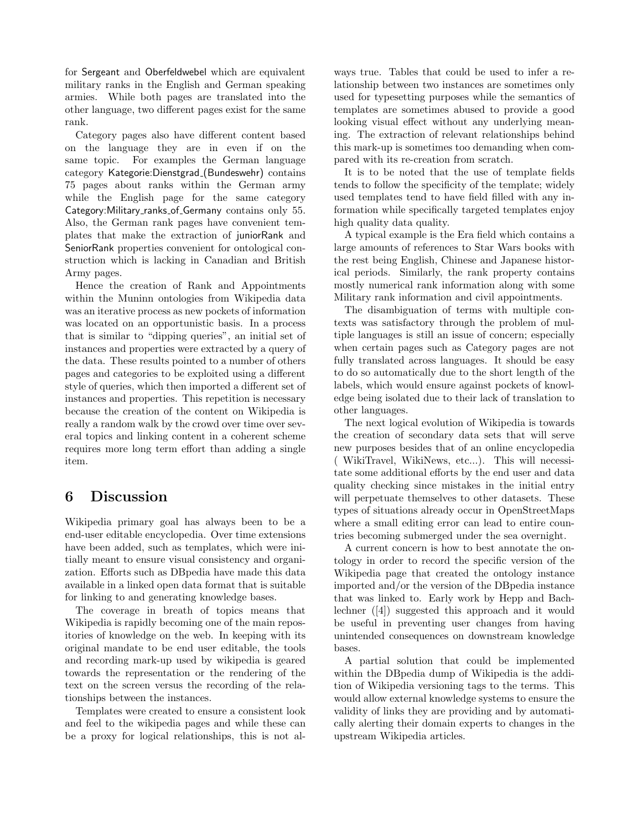for Sergeant and Oberfeldwebel which are equivalent military ranks in the English and German speaking armies. While both pages are translated into the other language, two different pages exist for the same rank.

Category pages also have different content based on the language they are in even if on the same topic. For examples the German language category Kategorie:Dienstgrad (Bundeswehr) contains 75 pages about ranks within the German army while the English page for the same category Category: Military\_ranks\_of\_Germany contains only 55. Also, the German rank pages have convenient templates that make the extraction of juniorRank and SeniorRank properties convenient for ontological construction which is lacking in Canadian and British Army pages.

Hence the creation of Rank and Appointments within the Muninn ontologies from Wikipedia data was an iterative process as new pockets of information was located on an opportunistic basis. In a process that is similar to "dipping queries", an initial set of instances and properties were extracted by a query of the data. These results pointed to a number of others pages and categories to be exploited using a different style of queries, which then imported a different set of instances and properties. This repetition is necessary because the creation of the content on Wikipedia is really a random walk by the crowd over time over several topics and linking content in a coherent scheme requires more long term effort than adding a single item.

#### 6 Discussion

Wikipedia primary goal has always been to be a end-user editable encyclopedia. Over time extensions have been added, such as templates, which were initially meant to ensure visual consistency and organization. Efforts such as DBpedia have made this data available in a linked open data format that is suitable for linking to and generating knowledge bases.

The coverage in breath of topics means that Wikipedia is rapidly becoming one of the main repositories of knowledge on the web. In keeping with its original mandate to be end user editable, the tools and recording mark-up used by wikipedia is geared towards the representation or the rendering of the text on the screen versus the recording of the relationships between the instances.

Templates were created to ensure a consistent look and feel to the wikipedia pages and while these can be a proxy for logical relationships, this is not always true. Tables that could be used to infer a relationship between two instances are sometimes only used for typesetting purposes while the semantics of templates are sometimes abused to provide a good looking visual effect without any underlying meaning. The extraction of relevant relationships behind this mark-up is sometimes too demanding when compared with its re-creation from scratch.

It is to be noted that the use of template fields tends to follow the specificity of the template; widely used templates tend to have field filled with any information while specifically targeted templates enjoy high quality data quality.

A typical example is the Era field which contains a large amounts of references to Star Wars books with the rest being English, Chinese and Japanese historical periods. Similarly, the rank property contains mostly numerical rank information along with some Military rank information and civil appointments.

The disambiguation of terms with multiple contexts was satisfactory through the problem of multiple languages is still an issue of concern; especially when certain pages such as Category pages are not fully translated across languages. It should be easy to do so automatically due to the short length of the labels, which would ensure against pockets of knowledge being isolated due to their lack of translation to other languages.

The next logical evolution of Wikipedia is towards the creation of secondary data sets that will serve new purposes besides that of an online encyclopedia ( WikiTravel, WikiNews, etc...). This will necessitate some additional efforts by the end user and data quality checking since mistakes in the initial entry will perpetuate themselves to other datasets. These types of situations already occur in OpenStreetMaps where a small editing error can lead to entire countries becoming submerged under the sea overnight.

A current concern is how to best annotate the ontology in order to record the specific version of the Wikipedia page that created the ontology instance imported and/or the version of the DBpedia instance that was linked to. Early work by Hepp and Bachlechner ([4]) suggested this approach and it would be useful in preventing user changes from having unintended consequences on downstream knowledge bases.

A partial solution that could be implemented within the DBpedia dump of Wikipedia is the addition of Wikipedia versioning tags to the terms. This would allow external knowledge systems to ensure the validity of links they are providing and by automatically alerting their domain experts to changes in the upstream Wikipedia articles.